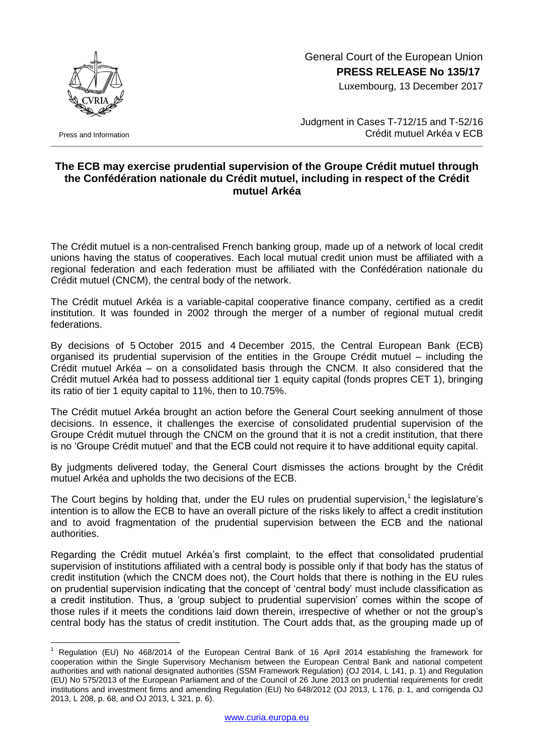

Press and Information

1

 General Court of the European Union **PRESS RELEASE No 135/17**

Luxembourg, 13 December 2017

Judgment in Cases T-712/15 and T-52/16 Crédit mutuel Arkéa v ECB

## **The ECB may exercise prudential supervision of the Groupe Crédit mutuel through the Confédération nationale du Crédit mutuel, including in respect of the Crédit mutuel Arkéa**

The Crédit mutuel is a non-centralised French banking group, made up of a network of local credit unions having the status of cooperatives. Each local mutual credit union must be affiliated with a regional federation and each federation must be affiliated with the Confédération nationale du Crédit mutuel (CNCM), the central body of the network.

The Crédit mutuel Arkéa is a variable-capital cooperative finance company, certified as a credit institution. It was founded in 2002 through the merger of a number of regional mutual credit federations.

By decisions of 5 October 2015 and 4 December 2015, the Central European Bank (ECB) organised its prudential supervision of the entities in the Groupe Crédit mutuel – including the Crédit mutuel Arkéa – on a consolidated basis through the CNCM. It also considered that the Crédit mutuel Arkéa had to possess additional tier 1 equity capital (fonds propres CET 1), bringing its ratio of tier 1 equity capital to 11%, then to 10.75%.

The Crédit mutuel Arkéa brought an action before the General Court seeking annulment of those decisions. In essence, it challenges the exercise of consolidated prudential supervision of the Groupe Crédit mutuel through the CNCM on the ground that it is not a credit institution, that there is no 'Groupe Crédit mutuel' and that the ECB could not require it to have additional equity capital.

By judgments delivered today, the General Court dismisses the actions brought by the Crédit mutuel Arkéa and upholds the two decisions of the ECB.

The Court begins by holding that, under the EU rules on prudential supervision,<sup>1</sup> the legislature's intention is to allow the ECB to have an overall picture of the risks likely to affect a credit institution and to avoid fragmentation of the prudential supervision between the ECB and the national authorities.

Regarding the Crédit mutuel Arkéa's first complaint, to the effect that consolidated prudential supervision of institutions affiliated with a central body is possible only if that body has the status of credit institution (which the CNCM does not), the Court holds that there is nothing in the EU rules on prudential supervision indicating that the concept of 'central body' must include classification as a credit institution. Thus, a 'group subject to prudential supervision' comes within the scope of those rules if it meets the conditions laid down therein, irrespective of whether or not the group's central body has the status of credit institution. The Court adds that, as the grouping made up of

<sup>1</sup> Regulation (EU) No 468/2014 of the European Central Bank of 16 April 2014 establishing the framework for cooperation within the Single Supervisory Mechanism between the European Central Bank and national competent authorities and with national designated authorities (SSM Framework Regulation) (OJ 2014, L 141, p. 1) and Regulation (EU) No 575/2013 of the European Parliament and of the Council of 26 June 2013 on prudential requirements for credit institutions and investment firms and amending Regulation (EU) No 648/2012 (OJ 2013, L 176, p. 1, and corrigenda OJ 2013, L 208, p. 68, and OJ 2013, L 321, p. 6).